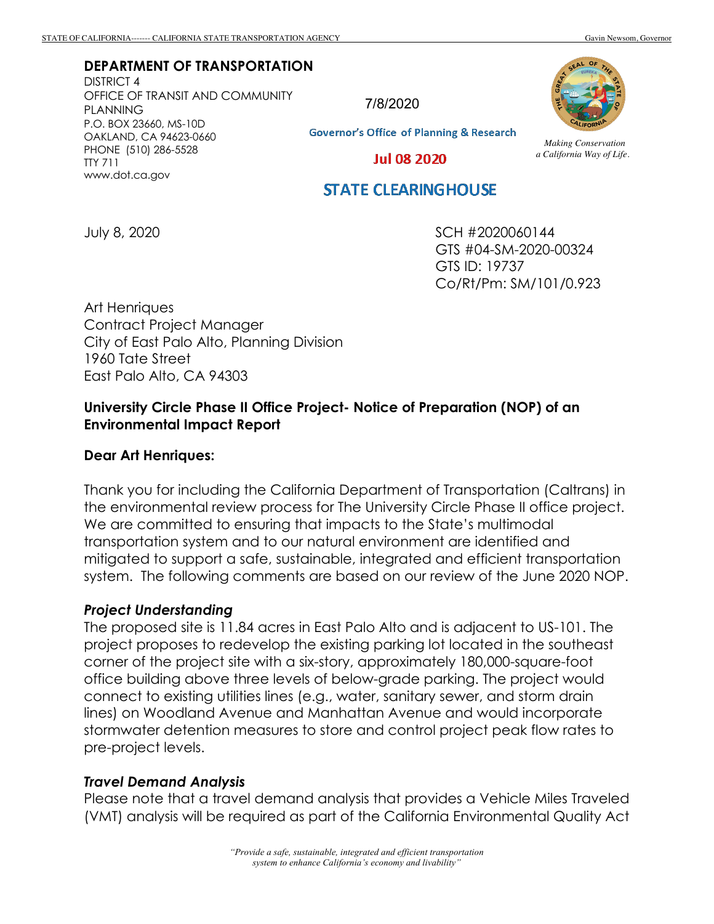#### **DEPARTMENT OF TRANSPORTATION**

DISTRICT 4 OFFICE OF TRANSIT AND COMMUNITY PLANNING P.O. BOX 23660, MS-10D OAKLAND, CA 94623-0660 PHONE (510) 286-5528 TTY 711 www.dot.ca.gov

7/8/2020

**Governor's Office of Planning & Research** 

*Making Conservation a California Way of Life.*

**Jul 08 2020** 

## **STATE CLEARINGHOUSE**

July 8, 2020

SCH #2020060144 GTS #04-SM-2020-00324 GTS ID: 19737 Co/Rt/Pm: SM/101/0.923

Art Henriques Contract Project Manager City of East Palo Alto, Planning Division 1960 Tate Street East Palo Alto, CA 94303

### **University Circle Phase II Office Project- Notice of Preparation (NOP) of an Environmental Impact Report**

#### **Dear Art Henriques:**

Thank you for including the California Department of Transportation (Caltrans) in the environmental review process for The University Circle Phase II office project. We are committed to ensuring that impacts to the State's multimodal transportation system and to our natural environment are identified and mitigated to support a safe, sustainable, integrated and efficient transportation system. The following comments are based on our review of the June 2020 NOP.

#### *Project Understanding*

The proposed site is 11.84 acres in East Palo Alto and is adjacent to US-101. The project proposes to redevelop the existing parking lot located in the southeast corner of the project site with a six-story, approximately 180,000-square-foot office building above three levels of below-grade parking. The project would connect to existing utilities lines (e.g., water, sanitary sewer, and storm drain lines) on Woodland Avenue and Manhattan Avenue and would incorporate stormwater detention measures to store and control project peak flow rates to pre-project levels.

#### *Travel Demand Analysis*

Please note that a travel demand analysis that provides a Vehicle Miles Traveled (VMT) analysis will be required as part of the California Environmental Quality Act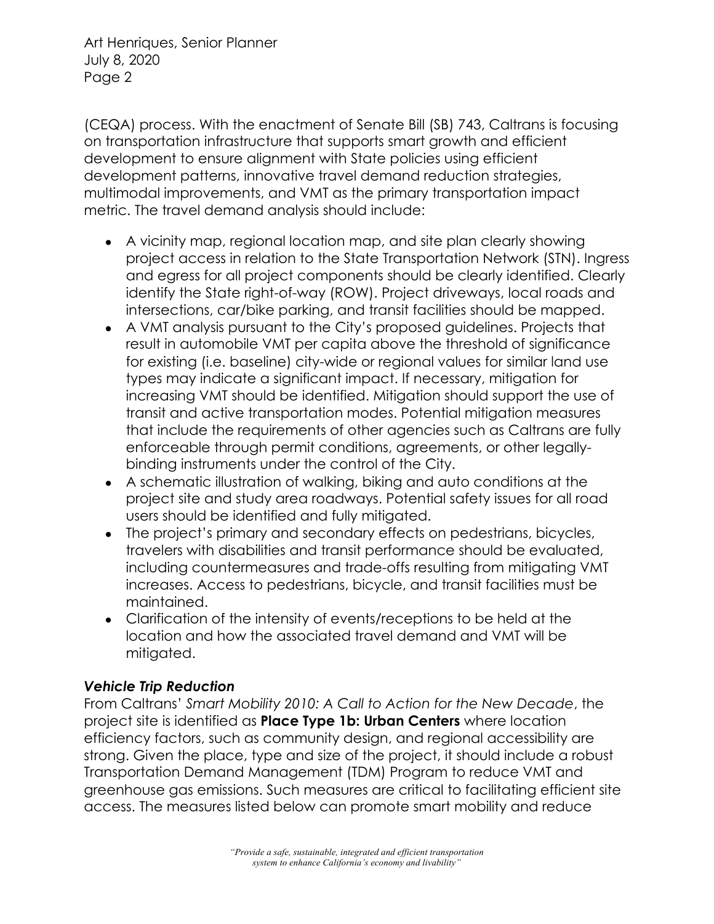(CEQA) process. With the enactment of Senate Bill (SB) 743, Caltrans is focusing on transportation infrastructure that supports smart growth and efficient development to ensure alignment with State policies using efficient development patterns, innovative travel demand reduction strategies, multimodal improvements, and VMT as the primary transportation impact metric. The travel demand analysis should include:

- A vicinity map, regional location map, and site plan clearly showing project access in relation to the State Transportation Network (STN). Ingress and egress for all project components should be clearly identified. Clearly identify the State right-of-way (ROW). Project driveways, local roads and intersections, car/bike parking, and transit facilities should be mapped.
- A VMT analysis pursuant to the City's proposed guidelines. Projects that result in automobile VMT per capita above the threshold of significance for existing (i.e. baseline) city-wide or regional values for similar land use types may indicate a significant impact. If necessary, mitigation for increasing VMT should be identified. Mitigation should support the use of transit and active transportation modes. Potential mitigation measures that include the requirements of other agencies such as Caltrans are fully enforceable through permit conditions, agreements, or other legallybinding instruments under the control of the City.
- A schematic illustration of walking, biking and auto conditions at the project site and study area roadways. Potential safety issues for all road users should be identified and fully mitigated.
- The project's primary and secondary effects on pedestrians, bicycles, travelers with disabilities and transit performance should be evaluated, including countermeasures and trade-offs resulting from mitigating VMT increases. Access to pedestrians, bicycle, and transit facilities must be maintained.
- Clarification of the intensity of events/receptions to be held at the location and how the associated travel demand and VMT will be mitigated.

# *Vehicle Trip Reduction*

From Caltrans' *Smart Mobility 2010: A Call to Action for the New Decade*, the project site is identified as **Place Type 1b: Urban Centers** where location efficiency factors, such as community design, and regional accessibility are strong. Given the place, type and size of the project, it should include a robust Transportation Demand Management (TDM) Program to reduce VMT and greenhouse gas emissions. Such measures are critical to facilitating efficient site access. The measures listed below can promote smart mobility and reduce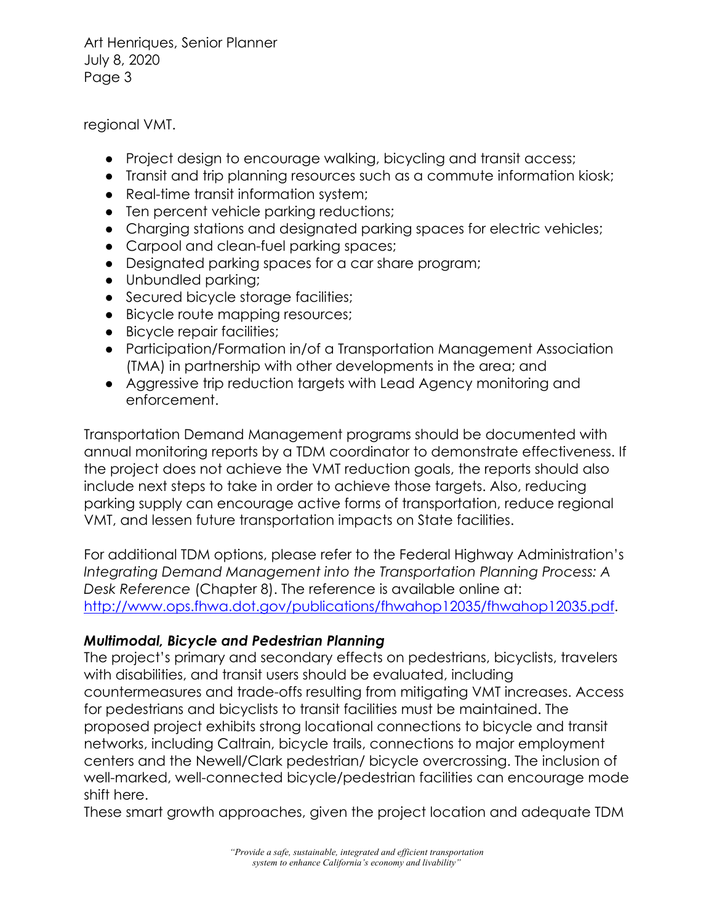regional VMT.

- Project design to encourage walking, bicycling and transit access;
- Transit and trip planning resources such as a commute information kiosk;
- Real-time transit information system;
- Ten percent vehicle parking reductions;
- Charging stations and designated parking spaces for electric vehicles;
- Carpool and clean-fuel parking spaces;
- Designated parking spaces for a car share program;
- Unbundled parking;
- Secured bicycle storage facilities;
- Bicycle route mapping resources;
- Bicycle repair facilities;
- Participation/Formation in/of a Transportation Management Association (TMA) in partnership with other developments in the area; and
- Aggressive trip reduction targets with Lead Agency monitoring and enforcement.

Transportation Demand Management programs should be documented with annual monitoring reports by a TDM coordinator to demonstrate effectiveness. If the project does not achieve the VMT reduction goals, the reports should also include next steps to take in order to achieve those targets. Also, reducing parking supply can encourage active forms of transportation, reduce regional VMT, and lessen future transportation impacts on State facilities.

For additional TDM options, please refer to the Federal Highway Administration's *Integrating Demand Management into the Transportation Planning Process: A Desk Reference* (Chapter 8). The reference is available online at: http://www.ops.fhwa.dot.gov/publications/fhwahop12035/fhwahop12035.pdf.

## *Multimodal, Bicycle and Pedestrian Planning*

The project's primary and secondary effects on pedestrians, bicyclists, travelers with disabilities, and transit users should be evaluated, including countermeasures and trade-offs resulting from mitigating VMT increases. Access for pedestrians and bicyclists to transit facilities must be maintained. The proposed project exhibits strong locational connections to bicycle and transit networks, including Caltrain, bicycle trails, connections to major employment centers and the Newell/Clark pedestrian/ bicycle overcrossing. The inclusion of well-marked, well-connected bicycle/pedestrian facilities can encourage mode shift here.

These smart growth approaches, given the project location and adequate TDM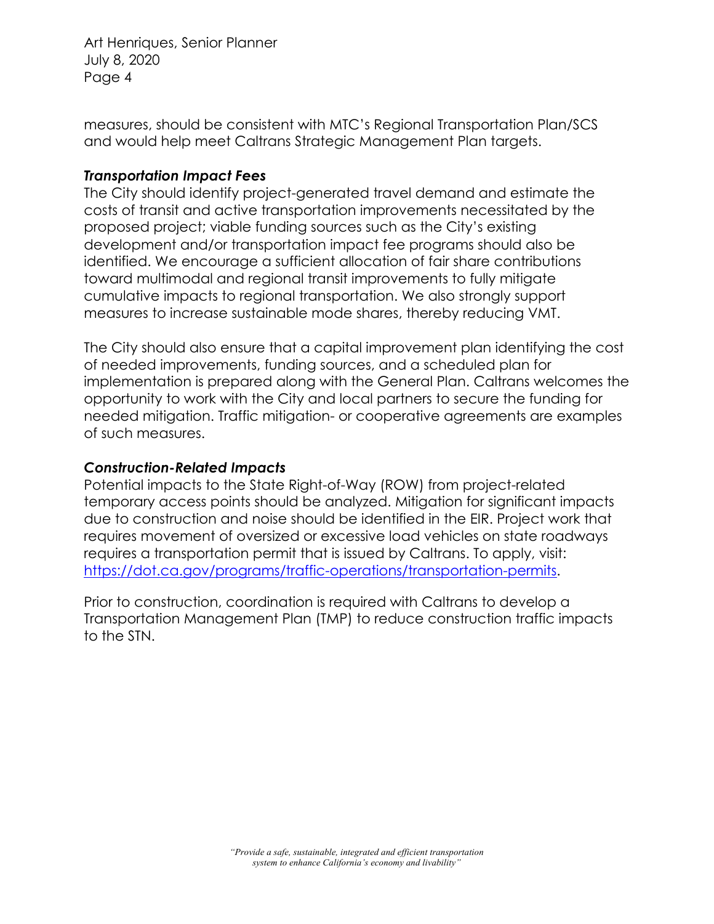measures, should be consistent with MTC's Regional Transportation Plan/SCS and would help meet Caltrans Strategic Management Plan targets.

### *Transportation Impact Fees*

The City should identify project-generated travel demand and estimate the costs of transit and active transportation improvements necessitated by the proposed project; viable funding sources such as the City's existing development and/or transportation impact fee programs should also be identified. We encourage a sufficient allocation of fair share contributions toward multimodal and regional transit improvements to fully mitigate cumulative impacts to regional transportation. We also strongly support measures to increase sustainable mode shares, thereby reducing VMT.

The City should also ensure that a capital improvement plan identifying the cost of needed improvements, funding sources, and a scheduled plan for implementation is prepared along with the General Plan. Caltrans welcomes the opportunity to work with the City and local partners to secure the funding for needed mitigation. Traffic mitigation- or cooperative agreements are examples of such measures.

## *Construction-Related Impacts*

Potential impacts to the State Right-of-Way (ROW) from project-related temporary access points should be analyzed. Mitigation for significant impacts due to construction and noise should be identified in the EIR. Project work that requires movement of oversized or excessive load vehicles on state roadways requires a transportation permit that is issued by Caltrans. To apply, visit: https://dot.ca.gov/programs/traffic-operations/transportation-permits.

Prior to construction, coordination is required with Caltrans to develop a Transportation Management Plan (TMP) to reduce construction traffic impacts to the STN.